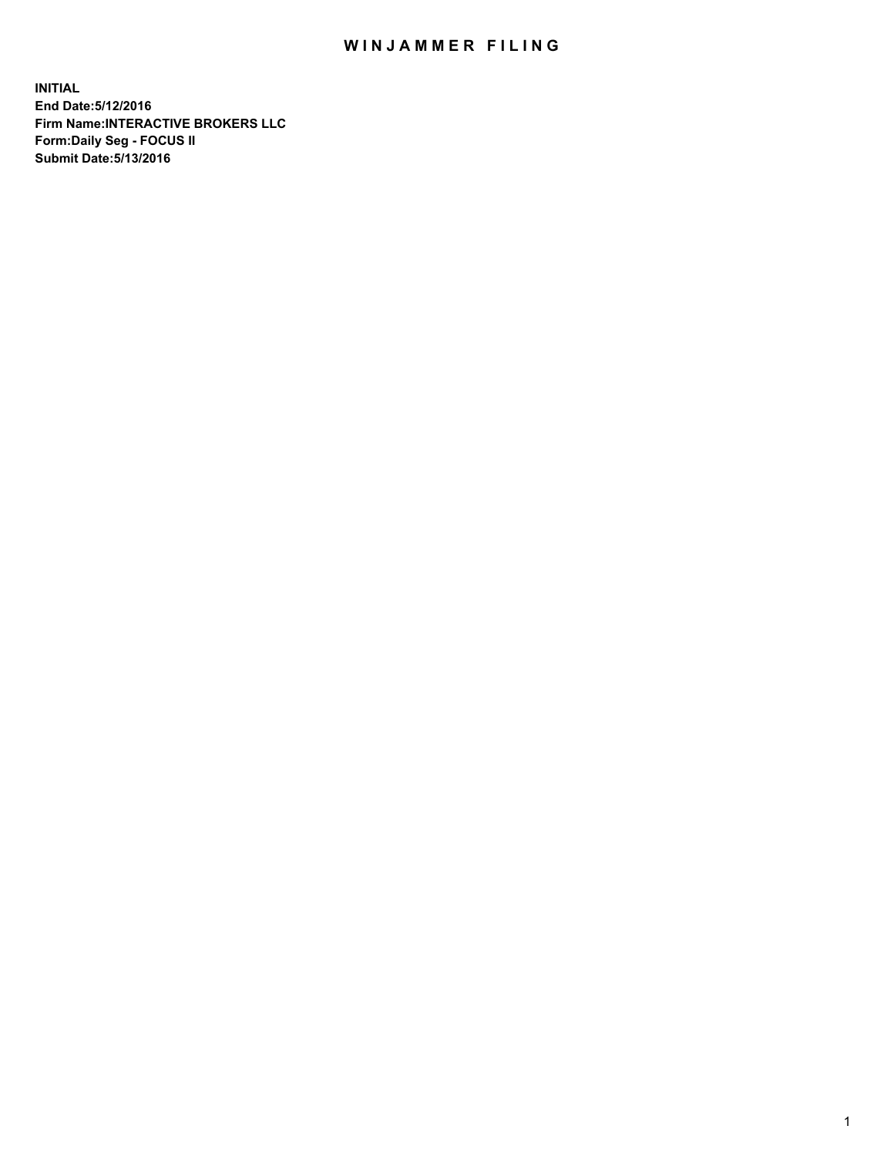## WIN JAMMER FILING

**INITIAL End Date:5/12/2016 Firm Name:INTERACTIVE BROKERS LLC Form:Daily Seg - FOCUS II Submit Date:5/13/2016**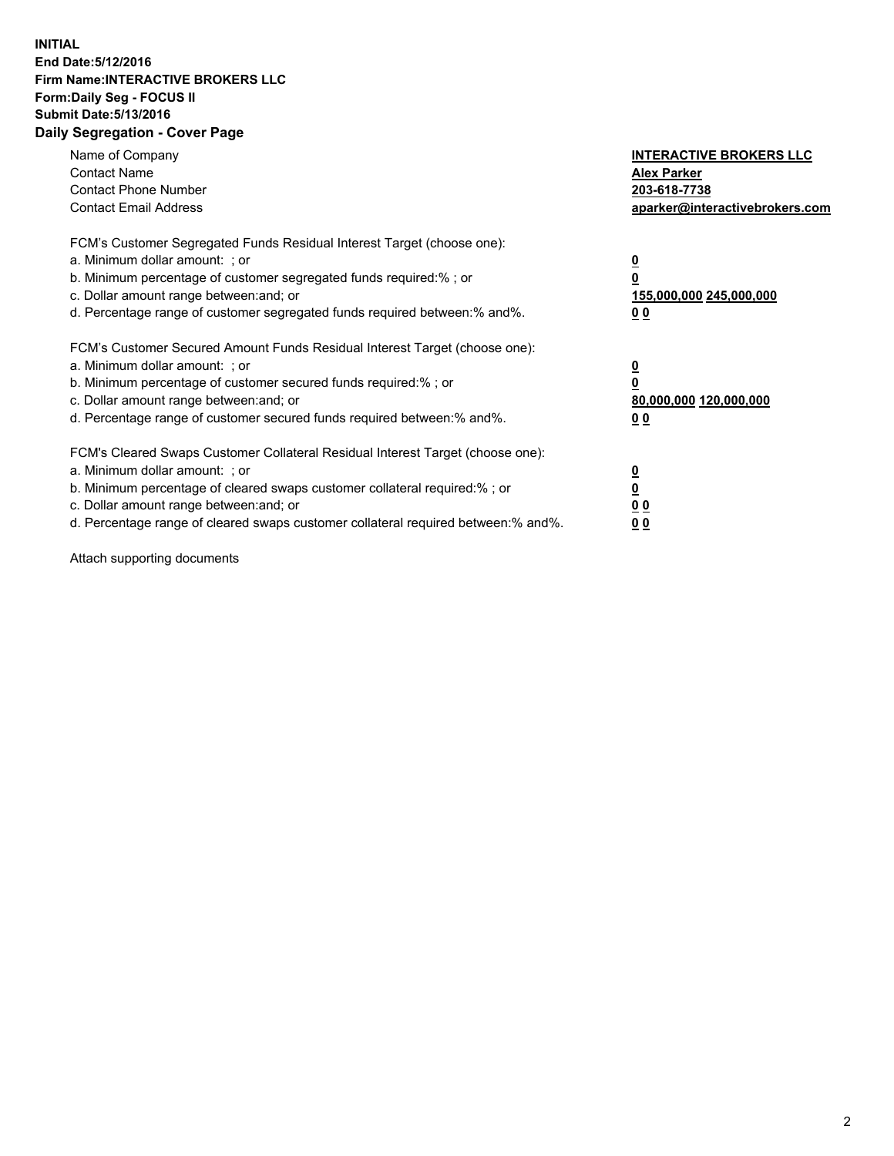## **INITIAL End Date:5/12/2016 Firm Name:INTERACTIVE BROKERS LLC Form:Daily Seg - FOCUS II Submit Date:5/13/2016 Daily Segregation - Cover Page**

| Name of Company<br><b>Contact Name</b><br><b>Contact Phone Number</b><br><b>Contact Email Address</b>                                                                                                                                                                                                                          | <b>INTERACTIVE BROKERS LLC</b><br><b>Alex Parker</b><br>203-618-7738<br>aparker@interactivebrokers.com |
|--------------------------------------------------------------------------------------------------------------------------------------------------------------------------------------------------------------------------------------------------------------------------------------------------------------------------------|--------------------------------------------------------------------------------------------------------|
| FCM's Customer Segregated Funds Residual Interest Target (choose one):<br>a. Minimum dollar amount: ; or<br>b. Minimum percentage of customer segregated funds required:%; or<br>c. Dollar amount range between: and; or<br>d. Percentage range of customer segregated funds required between:% and%.                          | <u>0</u><br>155,000,000 245,000,000<br><u>0 0</u>                                                      |
| FCM's Customer Secured Amount Funds Residual Interest Target (choose one):<br>a. Minimum dollar amount: ; or<br>b. Minimum percentage of customer secured funds required:% ; or<br>c. Dollar amount range between: and; or<br>d. Percentage range of customer secured funds required between:% and%.                           | <u>0</u><br>80,000,000 120,000,000<br><u>0 0</u>                                                       |
| FCM's Cleared Swaps Customer Collateral Residual Interest Target (choose one):<br>a. Minimum dollar amount: ; or<br>b. Minimum percentage of cleared swaps customer collateral required:% ; or<br>c. Dollar amount range between: and; or<br>d. Percentage range of cleared swaps customer collateral required between:% and%. | <u>0</u><br>0 <sub>0</sub><br>0 <sub>0</sub>                                                           |

Attach supporting documents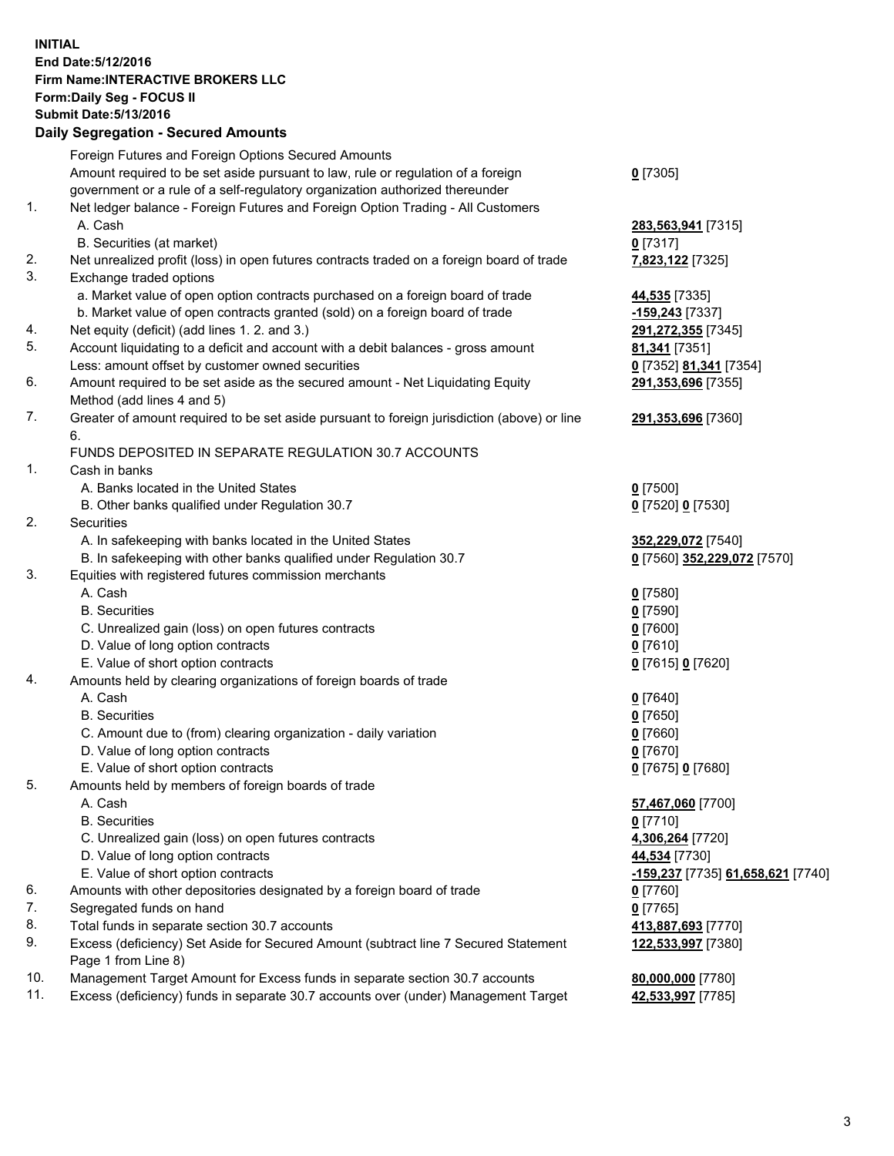## **INITIAL End Date:5/12/2016 Firm Name:INTERACTIVE BROKERS LLC Form:Daily Seg - FOCUS II Submit Date:5/13/2016 Daily Segregation - Secured Amounts**

|                | Daily Jegregation - Jeculed Aniounts                                                        |                                   |
|----------------|---------------------------------------------------------------------------------------------|-----------------------------------|
|                | Foreign Futures and Foreign Options Secured Amounts                                         |                                   |
|                | Amount required to be set aside pursuant to law, rule or regulation of a foreign            | $0$ [7305]                        |
|                | government or a rule of a self-regulatory organization authorized thereunder                |                                   |
| 1.             | Net ledger balance - Foreign Futures and Foreign Option Trading - All Customers             |                                   |
|                | A. Cash                                                                                     | 283,563,941 [7315]                |
|                | B. Securities (at market)                                                                   | $0$ [7317]                        |
| 2.             | Net unrealized profit (loss) in open futures contracts traded on a foreign board of trade   | 7,823,122 [7325]                  |
| 3.             | Exchange traded options                                                                     |                                   |
|                | a. Market value of open option contracts purchased on a foreign board of trade              | 44,535 [7335]                     |
|                | b. Market value of open contracts granted (sold) on a foreign board of trade                | -159,243 [7337]                   |
| 4.             | Net equity (deficit) (add lines 1.2. and 3.)                                                | 291,272,355 [7345]                |
| 5.             | Account liquidating to a deficit and account with a debit balances - gross amount           | 81,341 [7351]                     |
|                | Less: amount offset by customer owned securities                                            | 0 [7352] 81,341 [7354]            |
| 6.             | Amount required to be set aside as the secured amount - Net Liquidating Equity              | 291,353,696 [7355]                |
|                | Method (add lines 4 and 5)                                                                  |                                   |
| 7.             | Greater of amount required to be set aside pursuant to foreign jurisdiction (above) or line | 291,353,696 [7360]                |
|                | 6.                                                                                          |                                   |
|                | FUNDS DEPOSITED IN SEPARATE REGULATION 30.7 ACCOUNTS                                        |                                   |
| $\mathbf{1}$ . | Cash in banks                                                                               |                                   |
|                | A. Banks located in the United States                                                       | $0$ [7500]                        |
|                | B. Other banks qualified under Regulation 30.7                                              | 0 [7520] 0 [7530]                 |
| 2.             | Securities                                                                                  |                                   |
|                | A. In safekeeping with banks located in the United States                                   | 352,229,072 [7540]                |
|                | B. In safekeeping with other banks qualified under Regulation 30.7                          | 0 [7560] 352,229,072 [7570]       |
| 3.             | Equities with registered futures commission merchants                                       |                                   |
|                | A. Cash                                                                                     | $0$ [7580]                        |
|                | <b>B.</b> Securities                                                                        | $0$ [7590]                        |
|                | C. Unrealized gain (loss) on open futures contracts                                         | $0$ [7600]                        |
|                | D. Value of long option contracts                                                           | $0$ [7610]                        |
|                | E. Value of short option contracts                                                          | 0 [7615] 0 [7620]                 |
| 4.             | Amounts held by clearing organizations of foreign boards of trade                           |                                   |
|                | A. Cash                                                                                     | $0$ [7640]                        |
|                | <b>B.</b> Securities                                                                        | $0$ [7650]                        |
|                | C. Amount due to (from) clearing organization - daily variation                             | $0$ [7660]                        |
|                | D. Value of long option contracts                                                           | $0$ [7670]                        |
|                | E. Value of short option contracts                                                          | 0 [7675] 0 [7680]                 |
| 5.             | Amounts held by members of foreign boards of trade                                          |                                   |
|                | A. Cash                                                                                     | 57,467,060 [7700]                 |
|                | <b>B.</b> Securities                                                                        | $0$ [7710]                        |
|                | C. Unrealized gain (loss) on open futures contracts                                         | 4,306,264 [7720]                  |
|                | D. Value of long option contracts                                                           | 44,534 [7730]                     |
|                | E. Value of short option contracts                                                          | -159,237 [7735] 61,658,621 [7740] |
| 6.             | Amounts with other depositories designated by a foreign board of trade                      | $0$ [7760]                        |
| 7.             | Segregated funds on hand                                                                    | $0$ [7765]                        |
| 8.             | Total funds in separate section 30.7 accounts                                               | 413,887,693 [7770]                |
| 9.             | Excess (deficiency) Set Aside for Secured Amount (subtract line 7 Secured Statement         | 122,533,997 [7380]                |
|                | Page 1 from Line 8)                                                                         |                                   |
| 10.            | Management Target Amount for Excess funds in separate section 30.7 accounts                 | 80,000,000 [7780]                 |
| 11.            | Excess (deficiency) funds in separate 30.7 accounts over (under) Management Target          | 42,533,997 [7785]                 |
|                |                                                                                             |                                   |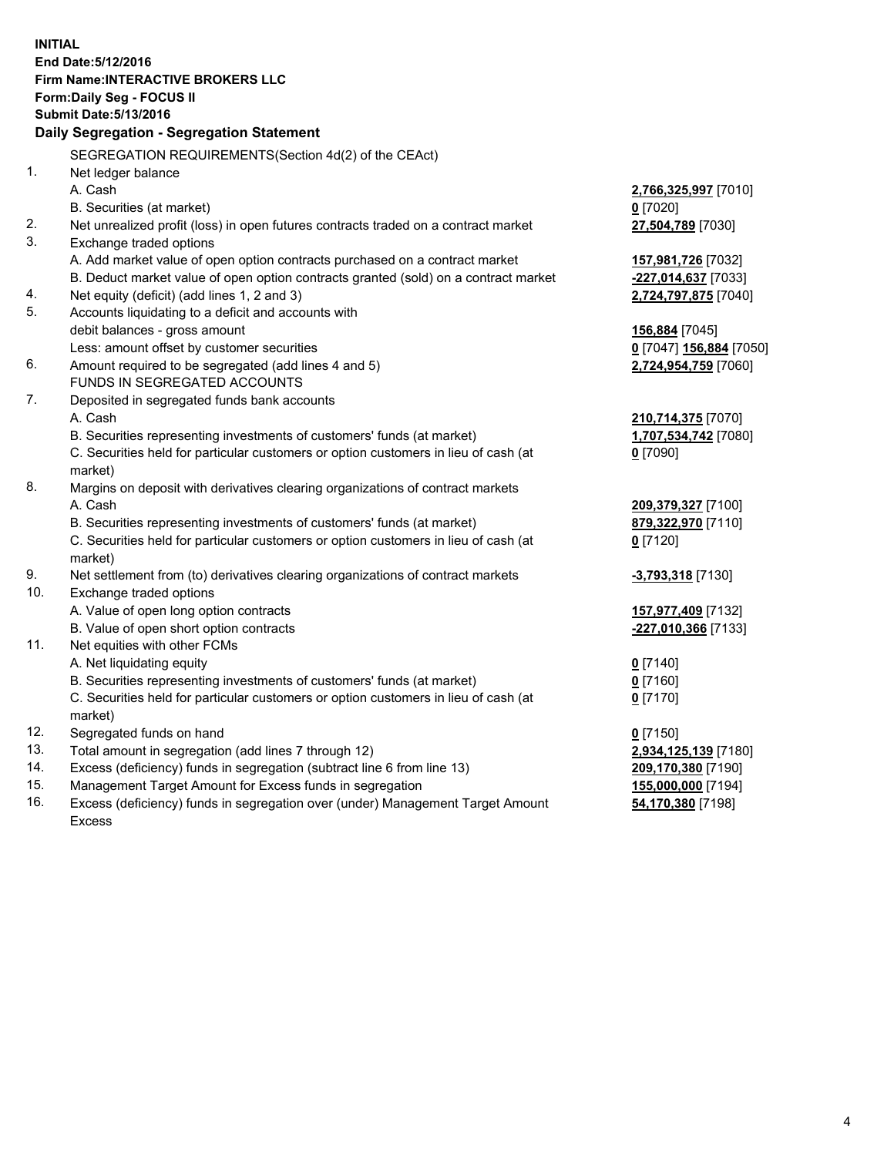**INITIAL End Date:5/12/2016 Firm Name:INTERACTIVE BROKERS LLC Form:Daily Seg - FOCUS II Submit Date:5/13/2016 Daily Segregation - Segregation Statement** SEGREGATION REQUIREMENTS(Section 4d(2) of the CEAct) 1. Net ledger balance A. Cash **2,766,325,997** [7010] B. Securities (at market) **0** [7020] 2. Net unrealized profit (loss) in open futures contracts traded on a contract market **27,504,789** [7030] 3. Exchange traded options A. Add market value of open option contracts purchased on a contract market **157,981,726** [7032] B. Deduct market value of open option contracts granted (sold) on a contract market **-227,014,637** [7033] 4. Net equity (deficit) (add lines 1, 2 and 3) **2,724,797,875** [7040] 5. Accounts liquidating to a deficit and accounts with debit balances - gross amount **156,884** [7045] Less: amount offset by customer securities **0** [7047] **156,884** [7050] 6. Amount required to be segregated (add lines 4 and 5) **2,724,954,759** [7060] FUNDS IN SEGREGATED ACCOUNTS 7. Deposited in segregated funds bank accounts A. Cash **210,714,375** [7070] B. Securities representing investments of customers' funds (at market) **1,707,534,742** [7080] C. Securities held for particular customers or option customers in lieu of cash (at market) **0** [7090] 8. Margins on deposit with derivatives clearing organizations of contract markets A. Cash **209,379,327** [7100] B. Securities representing investments of customers' funds (at market) **879,322,970** [7110] C. Securities held for particular customers or option customers in lieu of cash (at market) **0** [7120] 9. Net settlement from (to) derivatives clearing organizations of contract markets **-3,793,318** [7130] 10. Exchange traded options A. Value of open long option contracts **157,977,409** [7132] B. Value of open short option contracts **-227,010,366** [7133] 11. Net equities with other FCMs A. Net liquidating equity **0** [7140] B. Securities representing investments of customers' funds (at market) **0** [7160] C. Securities held for particular customers or option customers in lieu of cash (at market) **0** [7170] 12. Segregated funds on hand **0** [7150] 13. Total amount in segregation (add lines 7 through 12) **2,934,125,139** [7180] 14. Excess (deficiency) funds in segregation (subtract line 6 from line 13) **209,170,380** [7190] 15. Management Target Amount for Excess funds in segregation **155,000,000** [7194] 16. Excess (deficiency) funds in segregation over (under) Management Target Amount **54,170,380** [7198]

Excess